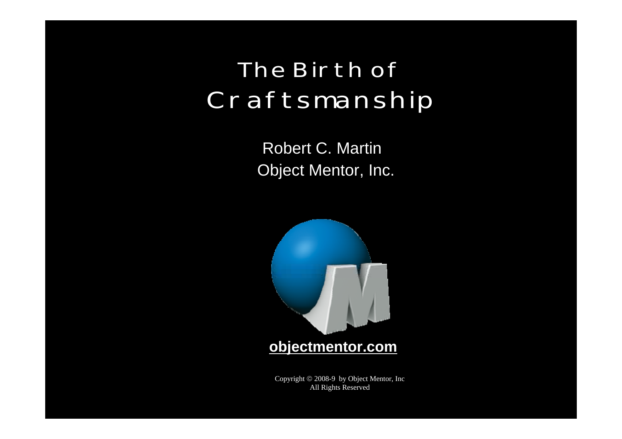#### **The Birth of Craftsmanship**

Object Mentor, Inc. Robert C. Martin



**objectmentor.com**

Copyright © 2008-9 by Object Mentor, Inc All Rights Reserved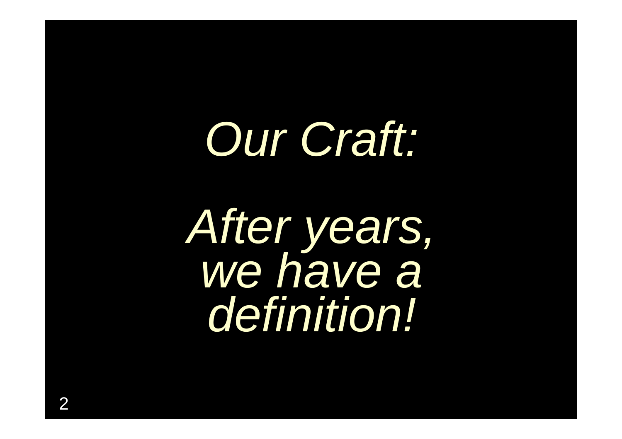## *Our Craft:*

*After years, we have a definition!*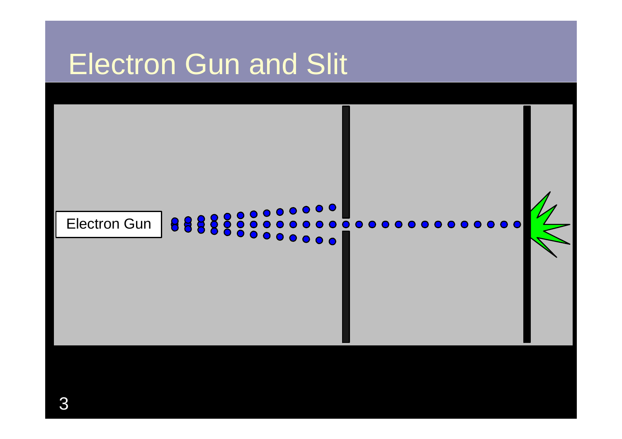#### Electron Gun and Slit

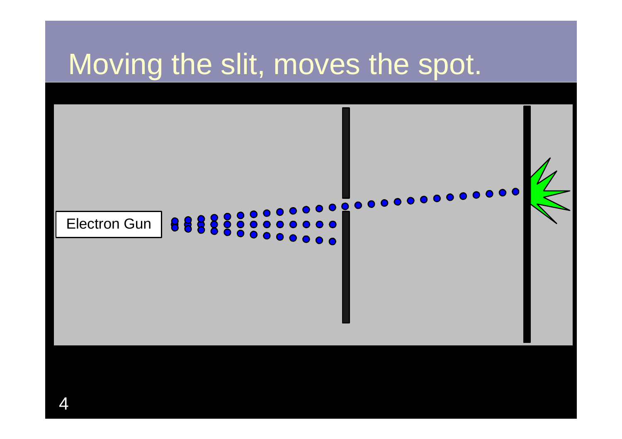#### Moving the slit, moves the spot.

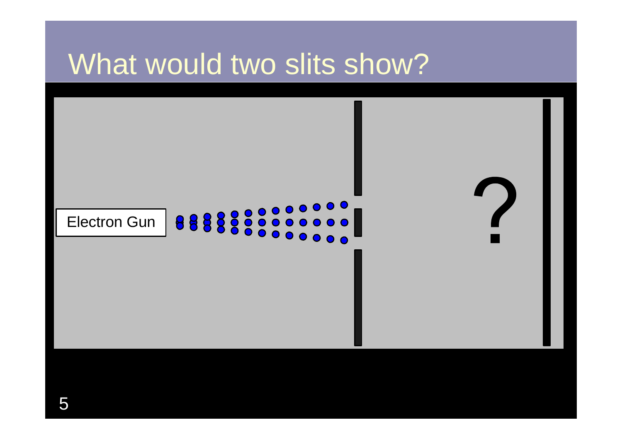#### What would two slits show?

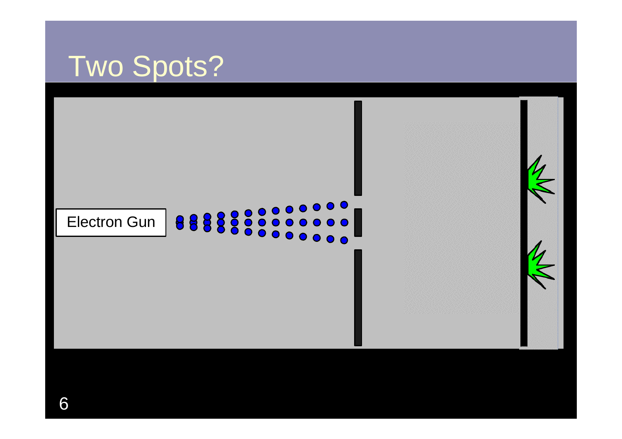#### Two Spots?

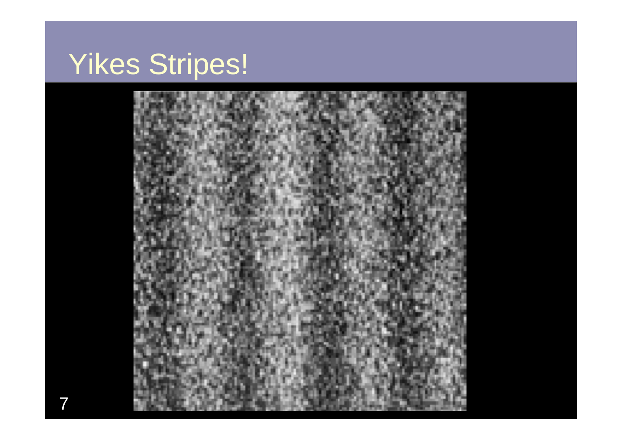#### Yikes Stripes!

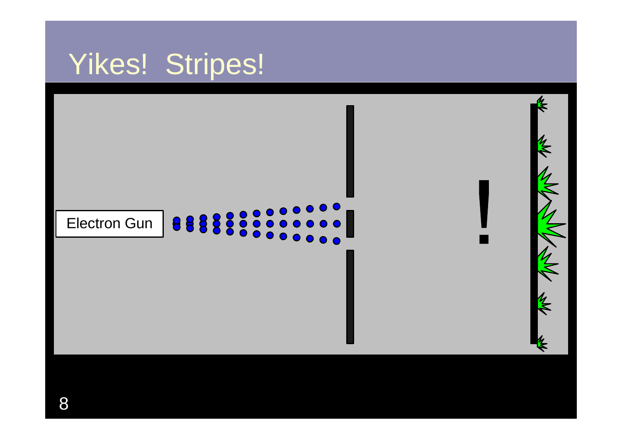#### Yikes! Stripes!

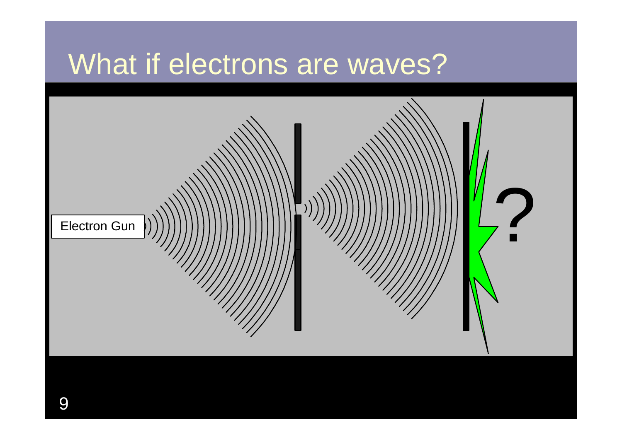#### What if electrons are waves?

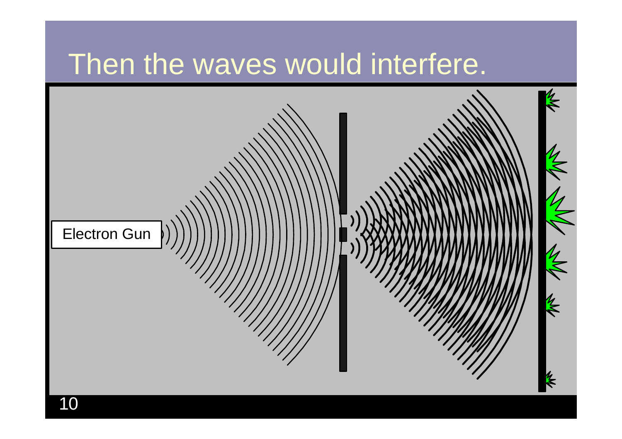#### Then the waves would interfere.

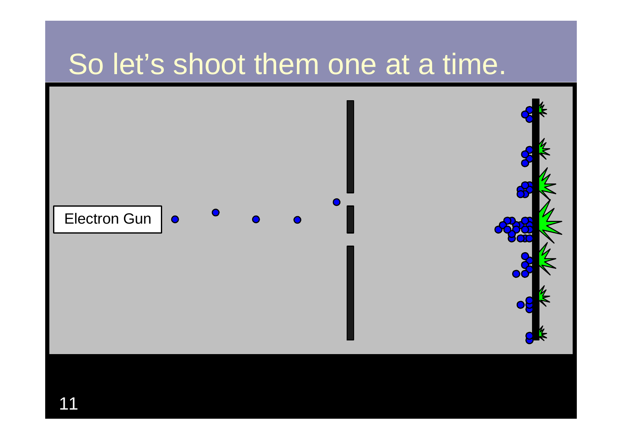#### So let's shoot them one at a time.

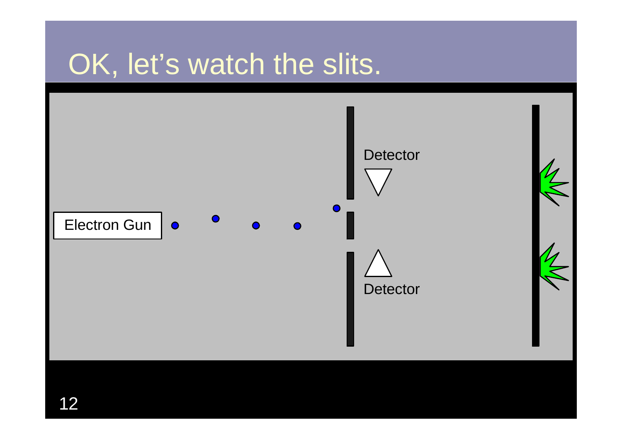#### OK, let's watch the slits.

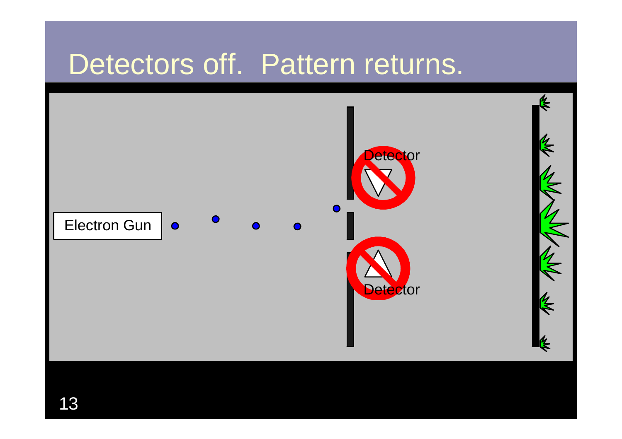#### Detectors off. Pattern returns.

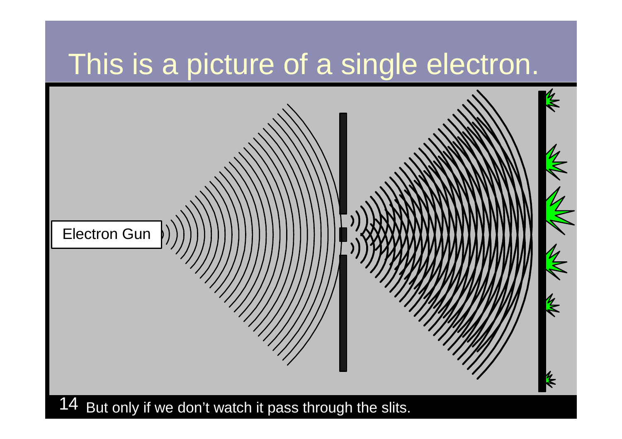#### This is a picture of a single electron.

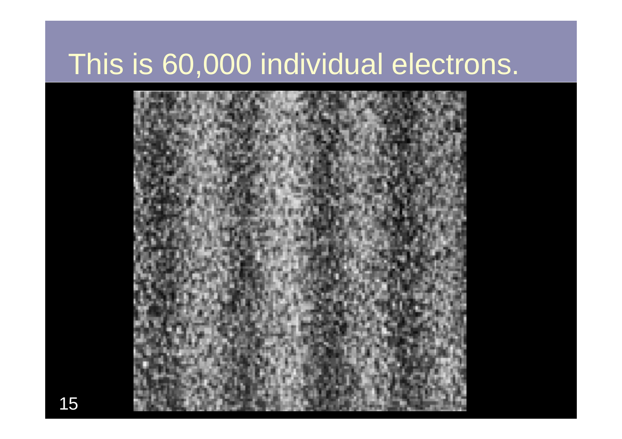#### This is 60,000 individual electrons.

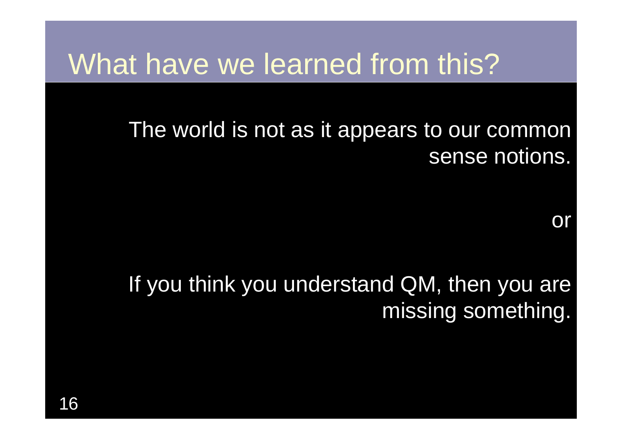#### What have we learned from this?

#### The world is not as it appears to our common sense notions.

or

#### If you think you understand QM, then you are missing something.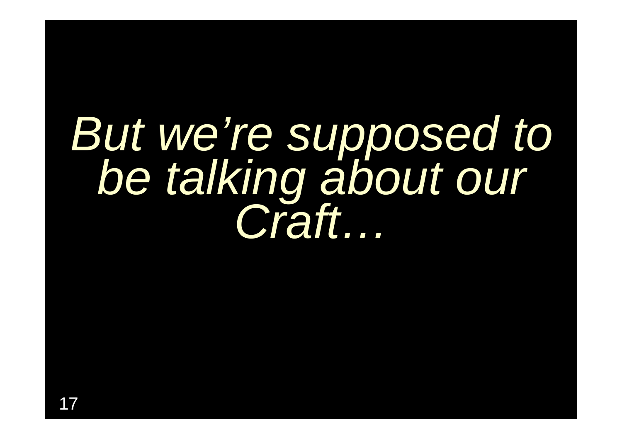# *But we're supposed to be talking about our Craft…*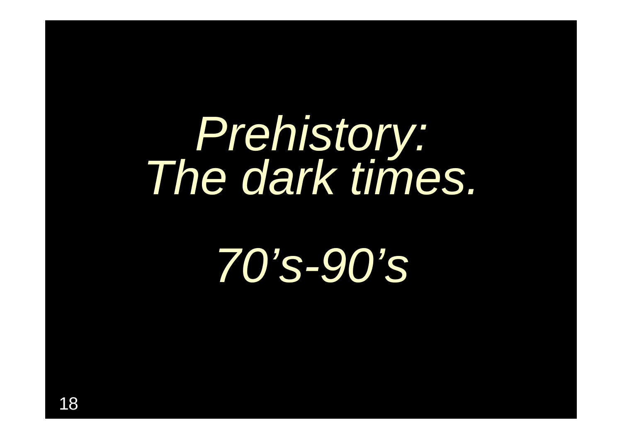## *Prehistory: The dark times.*

## *70's-90's*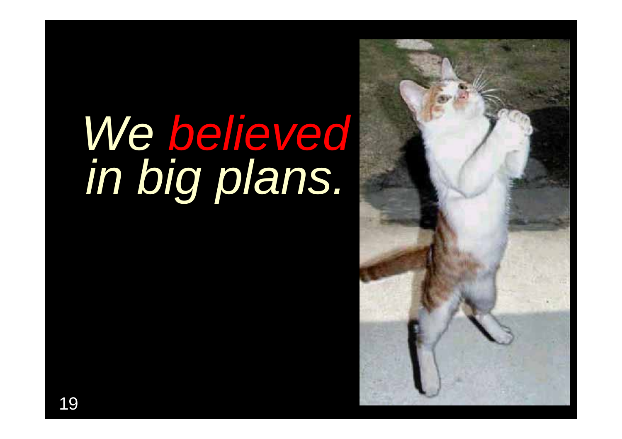## *We believed in big plans.*

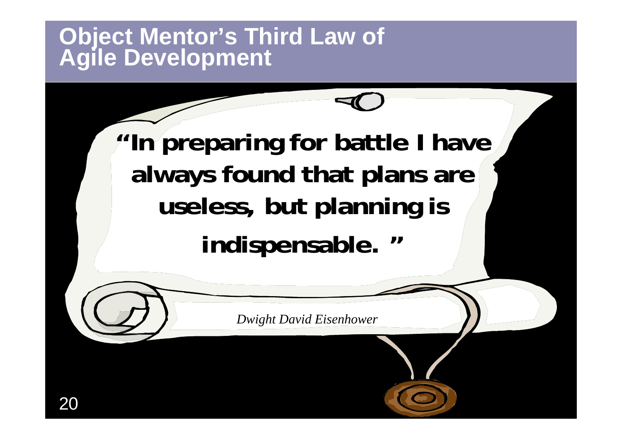## **Object Mentor's Third Law of Agile Development**

**"In preparing for battle I have always found that plans are useless, but planning is indispensable. "**

*Dwight David Eisenhower*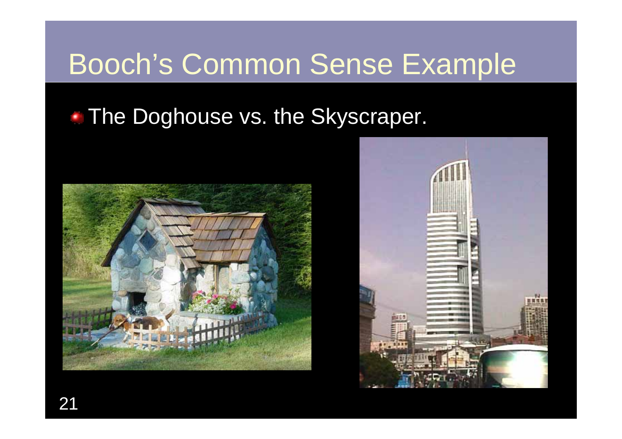#### Booch's Common Sense Example

#### • The Doghouse vs. the Skyscraper.



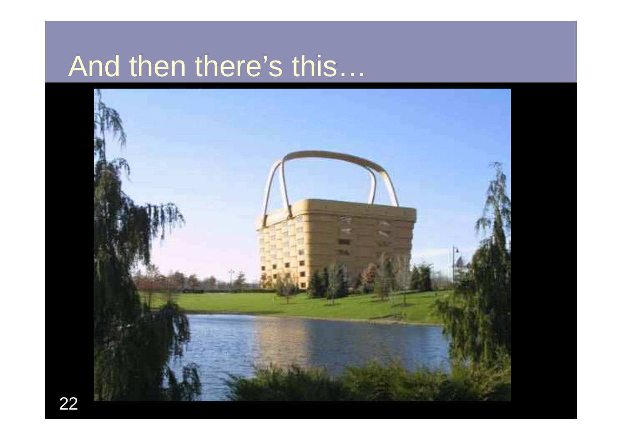#### And then there's this…

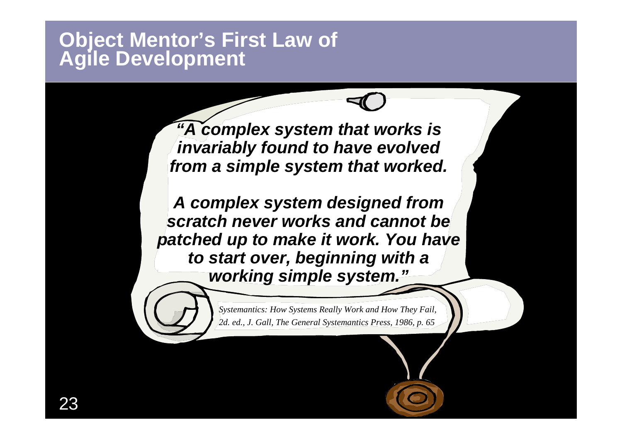## **Object Mentor's First Law of Agile Development**

*"A complex system that works is invariably found to have evolved from a simple system that worked.* 

*A complex system designed from scratch never works and cannot be patched up to make it work. You have to start over, beginning with a working simple system."*

> *Systemantics: How Systems Really Work and How They Fail, 2d. ed., J. Gall, The General Systemantics Press, 1986, p. 65*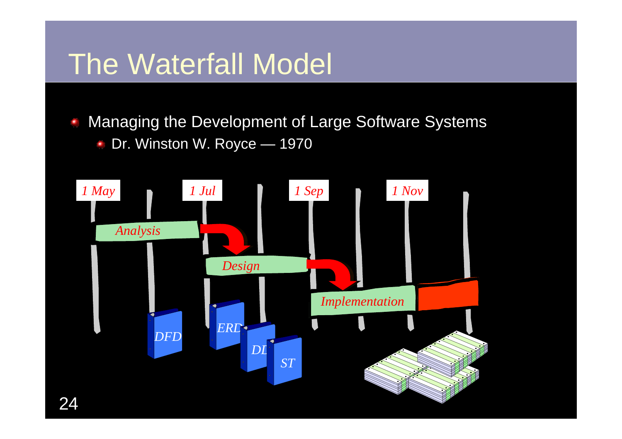#### The Waterfall Model

Managing the Development of Large Software Systems Ξ Dr. Winston W. Royce — 1970 $\blacksquare$ 

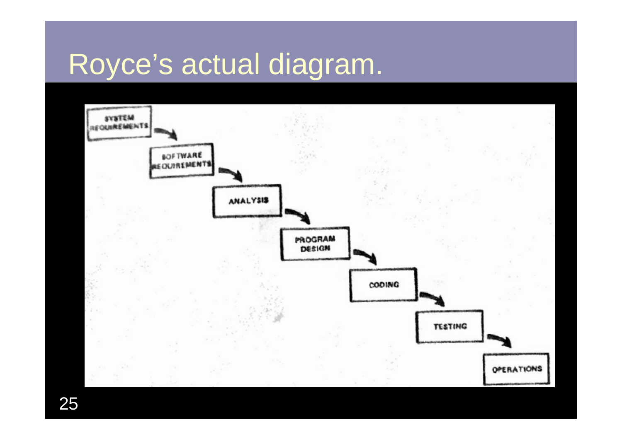#### Royce's actual diagram.

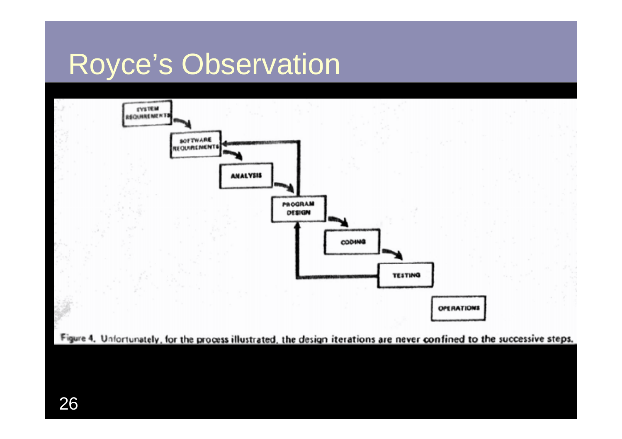#### Royce's Observation



26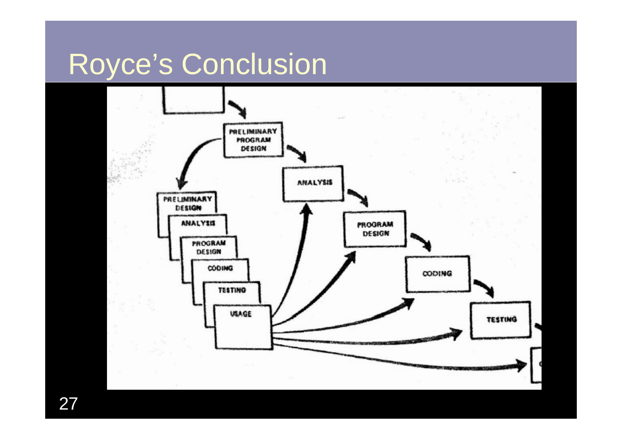#### Royce's Conclusion



27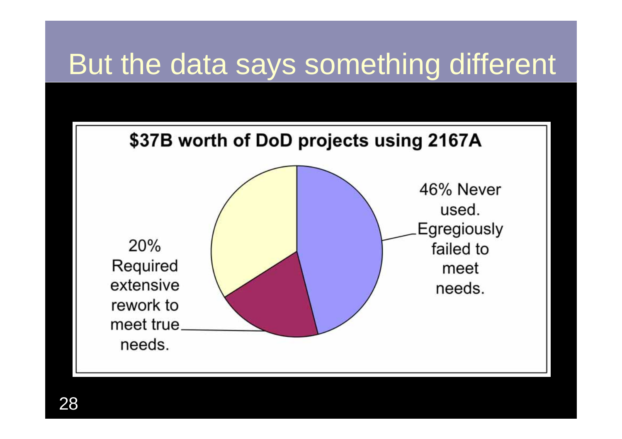#### But the data says something different

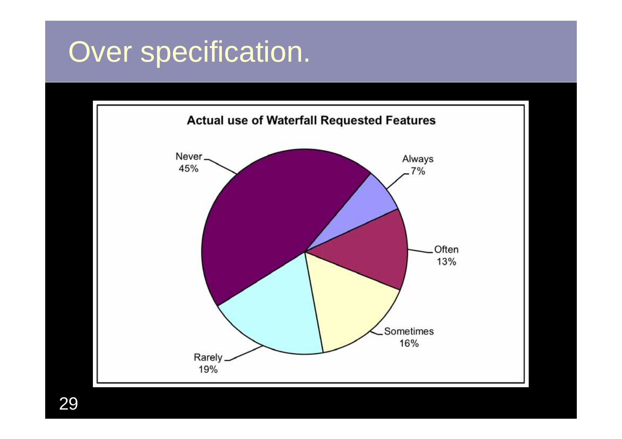#### Over specification.



29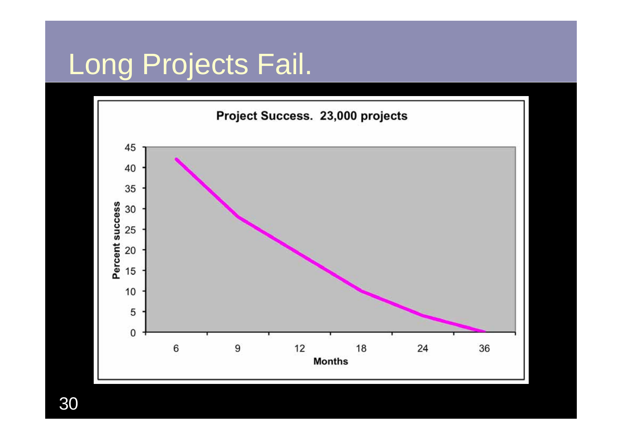#### Long Projects Fail.



30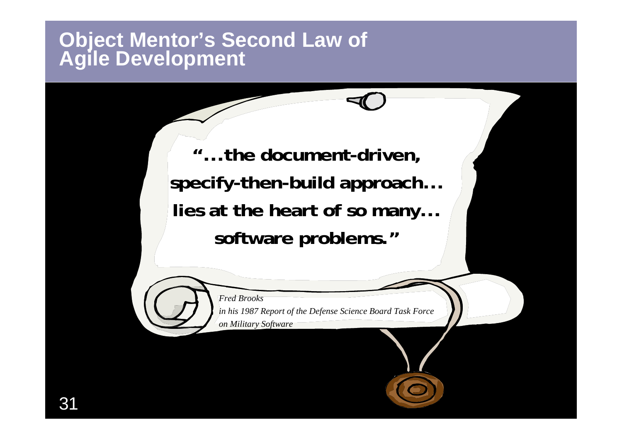### **Object Mentor's Second Law of Agile Development**

**"...the document-driven, specify-then-build approach... lies at the heart of so many... software problems."**



*in his 1987 Report of the Defense Science Board Task Force on Military Software*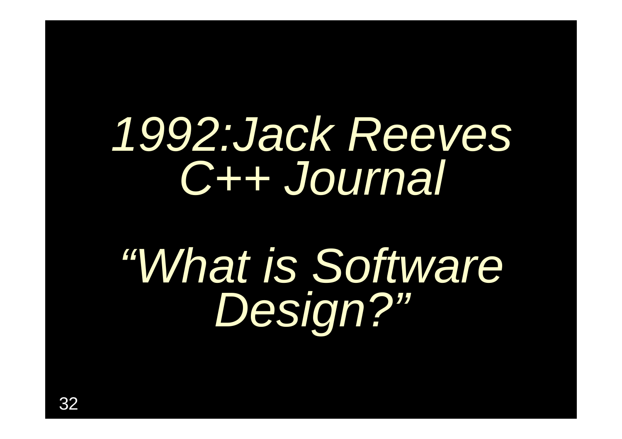## *1992:Jack Reeves C++ Journal*

## *"What is Software Design?"*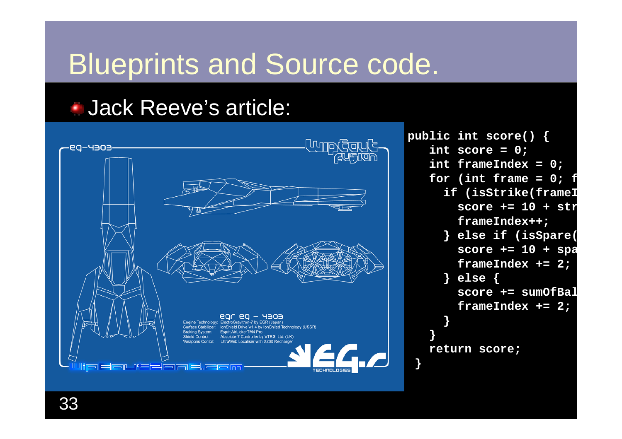#### Blueprints and Source code.

#### Jack Reeve's article:



**public int score() { int score = 0; int frameIndex = 0; for (int frame = 0; f if (isStrike(frameI score += 10 + strframeIndex++; } else if (isSpare( score += 10 + spa frameIndex += 2; } else { score += sumOfBalframeIndex += 2; } } return score; }**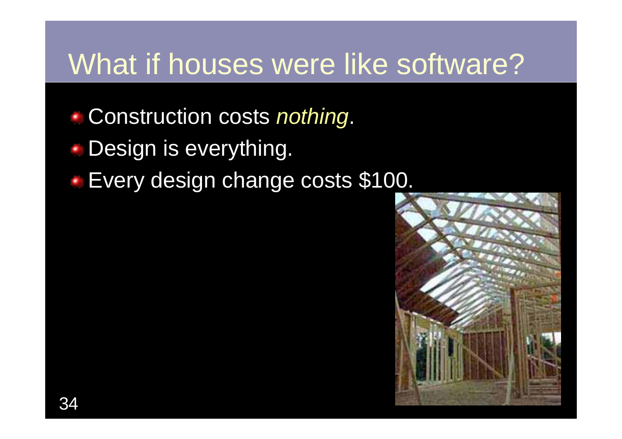#### What if houses were like software?

- Construction costs *nothing*.
- **Design is everything.**
- Every design change costs \$100.

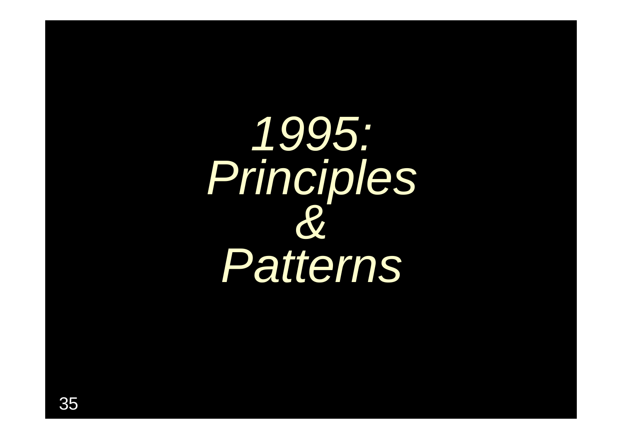*1995: Principles & Patterns*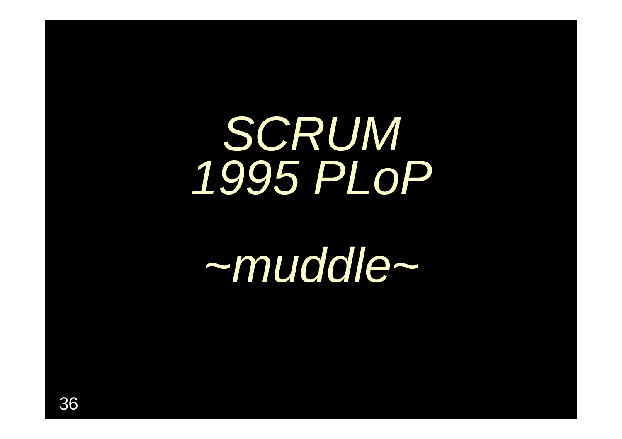## *SCRUM 1995 PLoP*

## *~muddle~*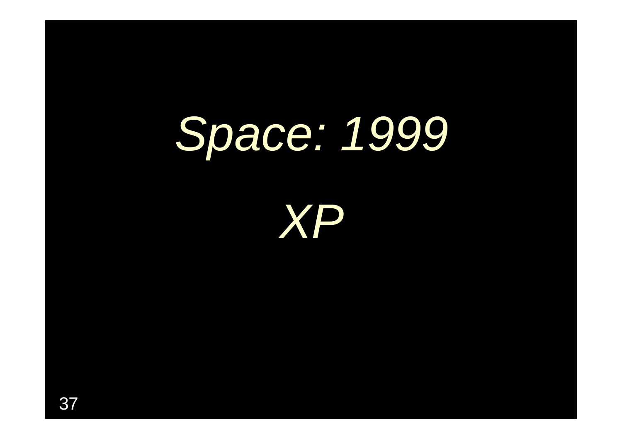### *Space: 1999*

*XP*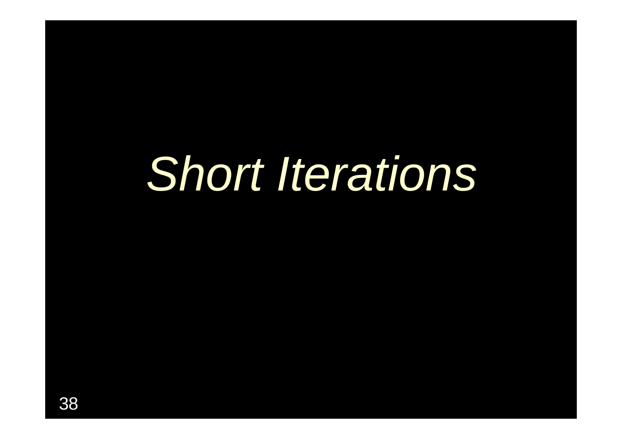### *Short Iterations*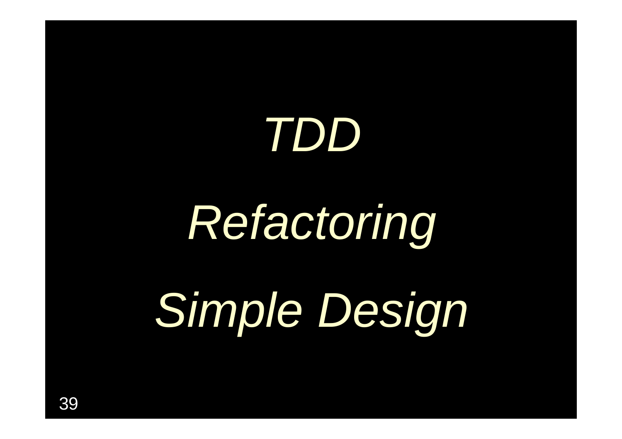### *TDD*

### *Refactoring*

*Simple Design*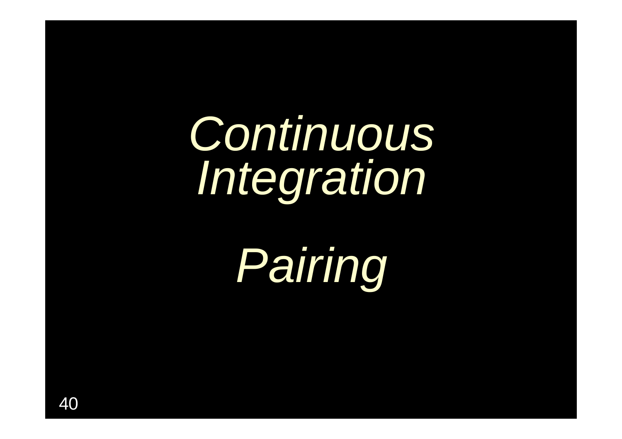### *Continuous Integration*

*Pairing*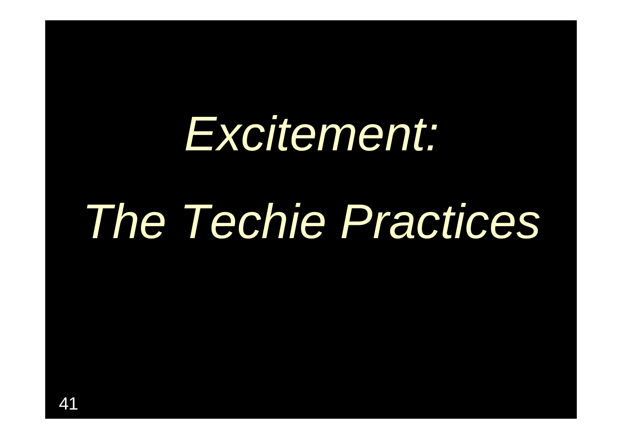### *Excitement:*

### *The Techie Practices*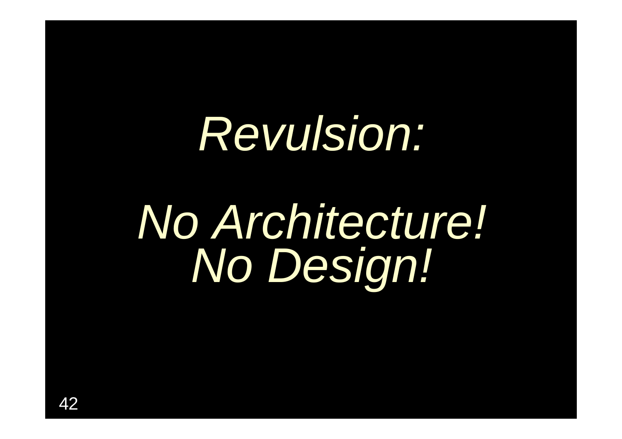### *Revulsion:*

### *No Architecture! No Design!*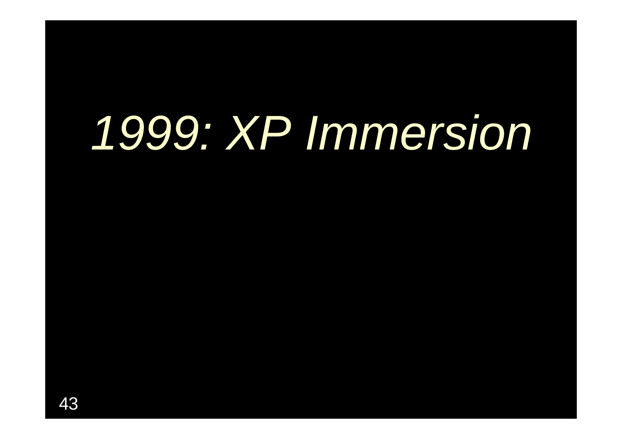### *1999: XP Immersion*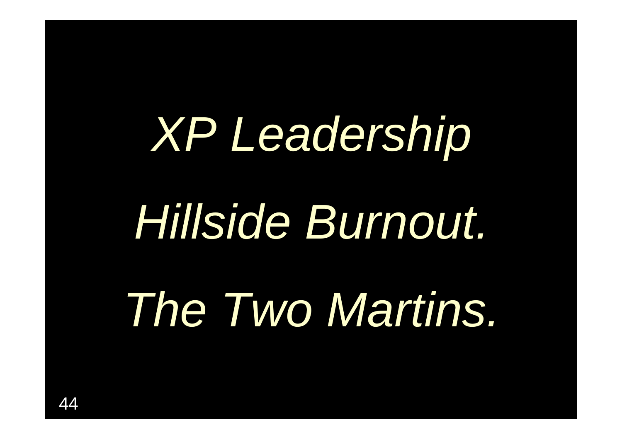### *XP Leadership*

### *Hillside Burnout.*

### *The Two Martins.*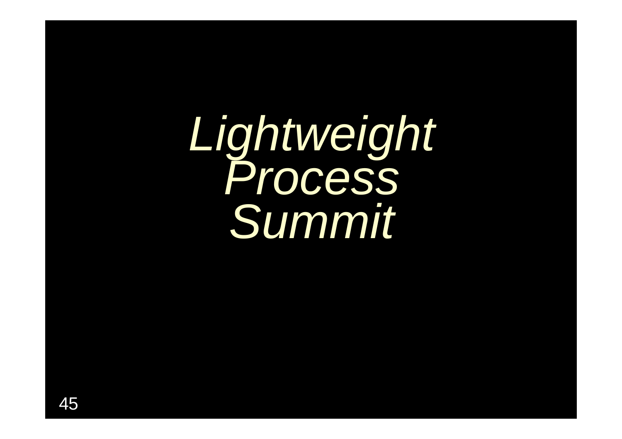*Lightweight Process Summit*

45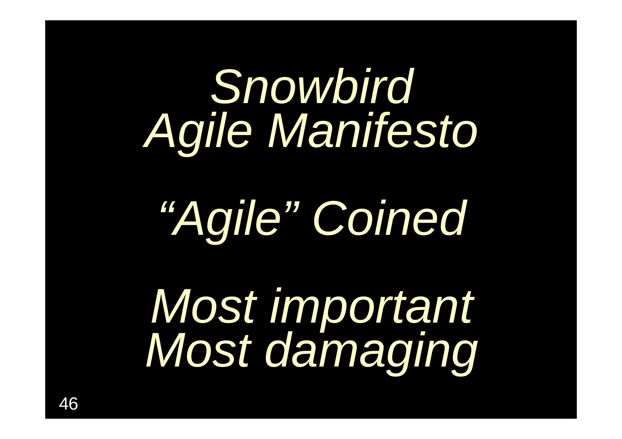### *Snowbird Agile Manifesto*

### *"Agile" Coined*

*Most important Most damaging*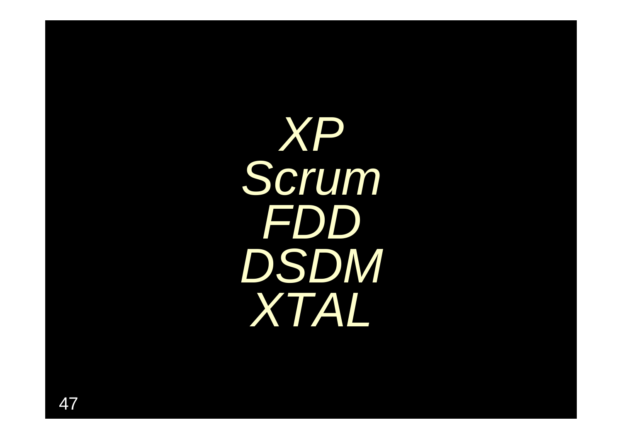XP Scrum FDD DSDM XTAL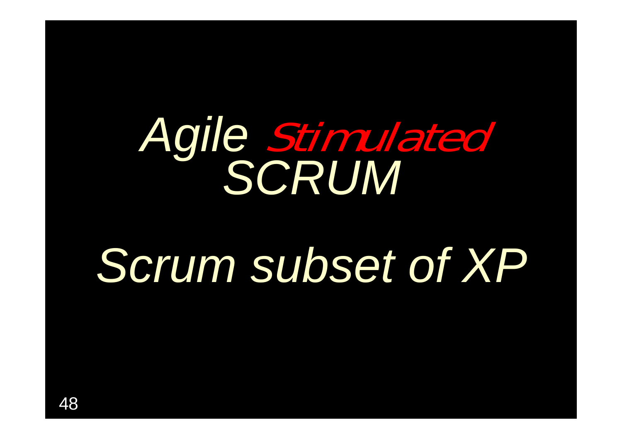## *Agile* Stimulated *SCRUM*

### *Scrum subset of XP*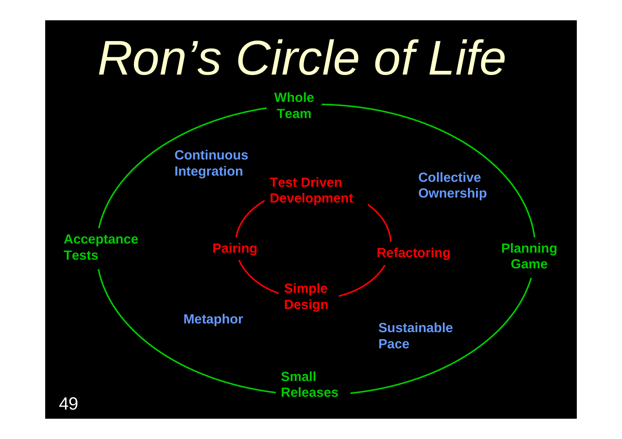### *Ron's Circle of Life*

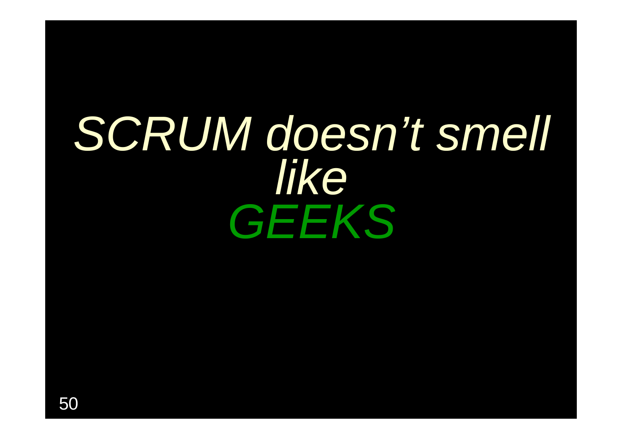### *SCRUM doesn't smell like GEEKS*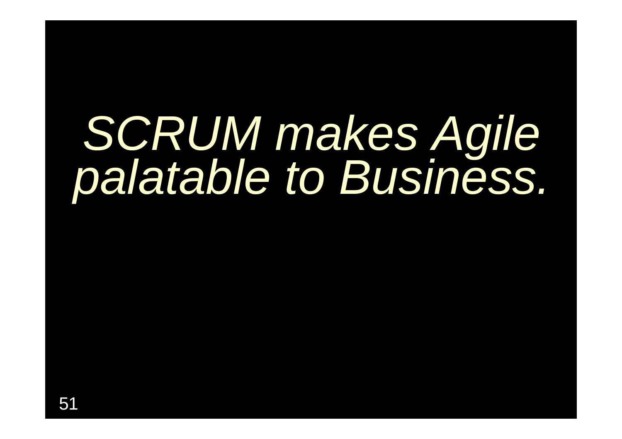# *SCRUM makes Agile palatable to Business.*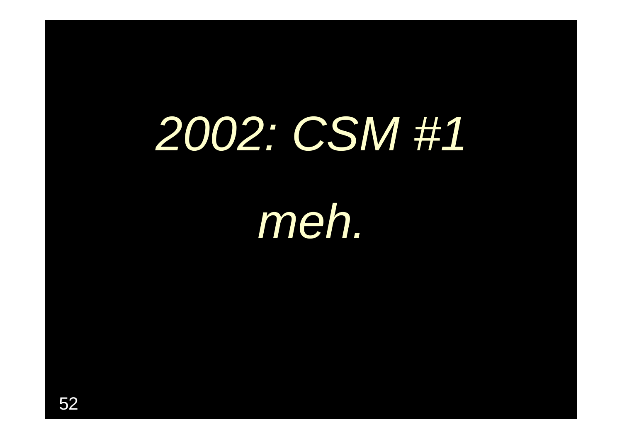### *2002: CSM #1*

*meh.*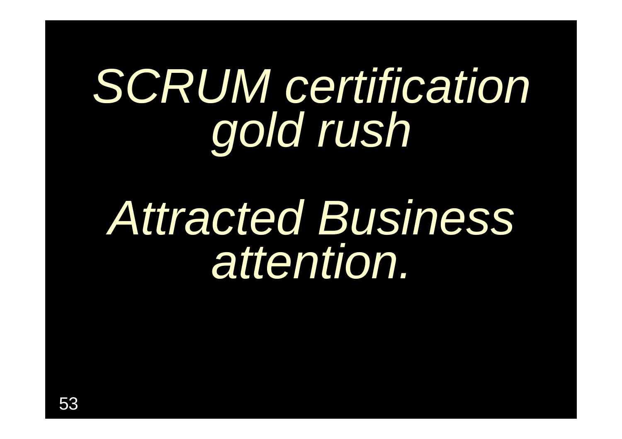### *SCRUM certification gold rush*

### *Attracted Business attention.*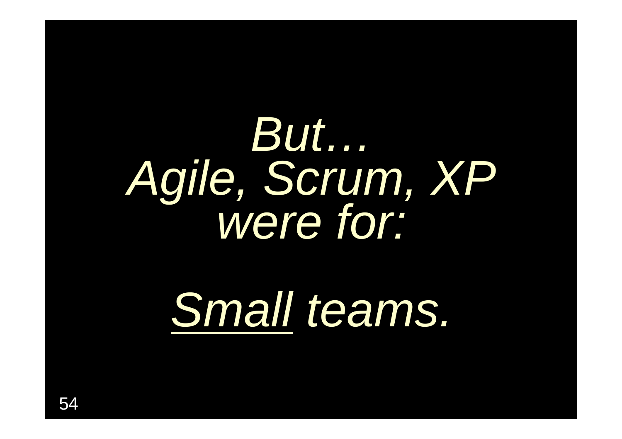### But... Agile, Scrum, XP

### Small teams.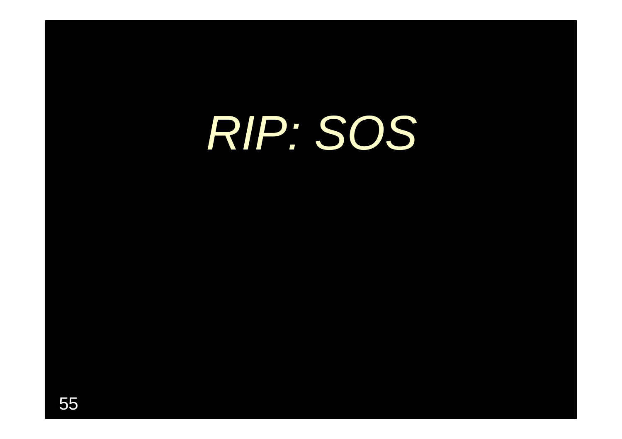### RIP: SOS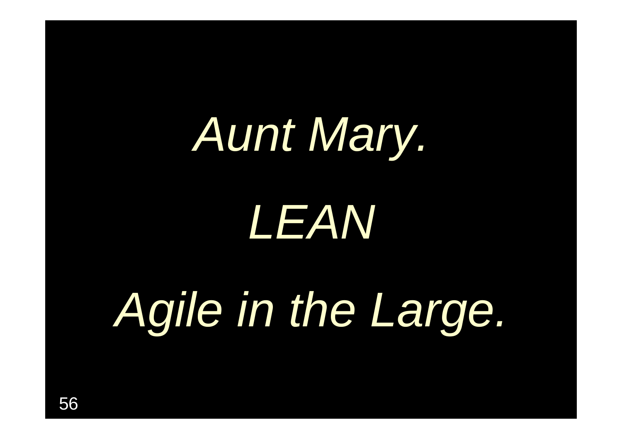### *Aunt Mary.*

*LEAN*

*Agile in the Large.*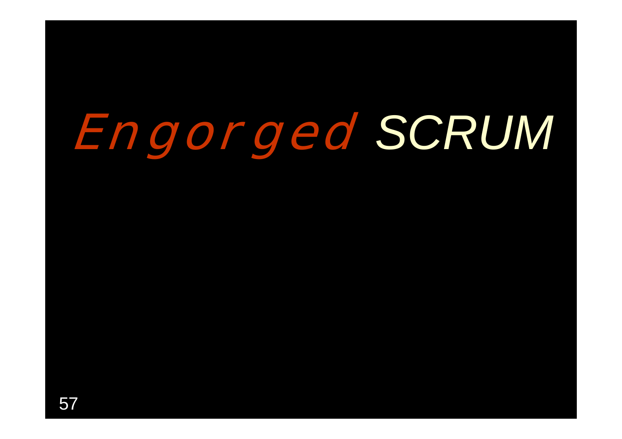### **Engorged** *SCRUM*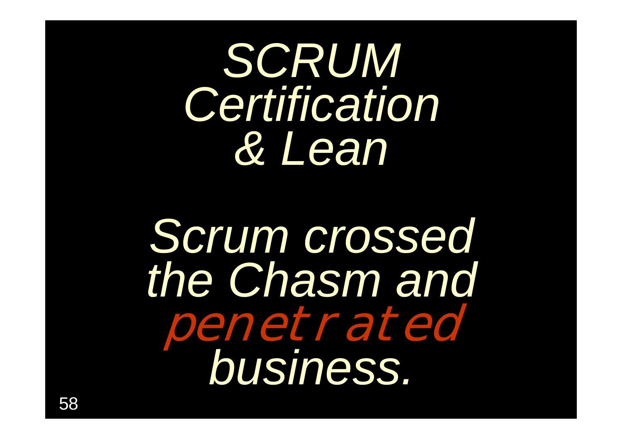*SCRUM Certification & Lean*

*Scrum crossed the Chasm and*  penetrated *business.*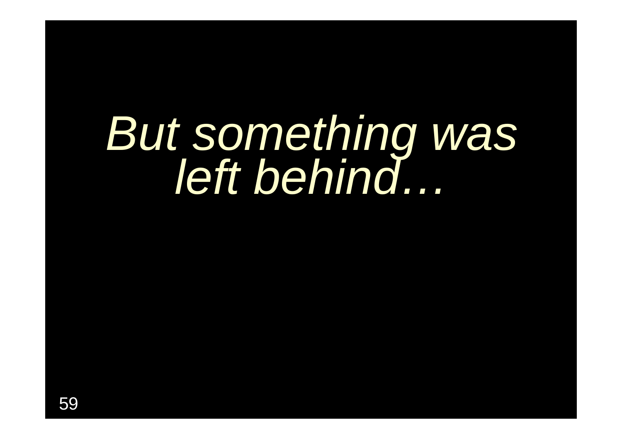## But something was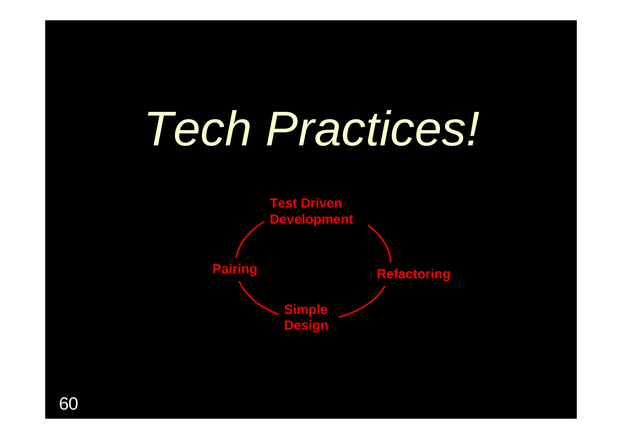### *Tech Practices!*

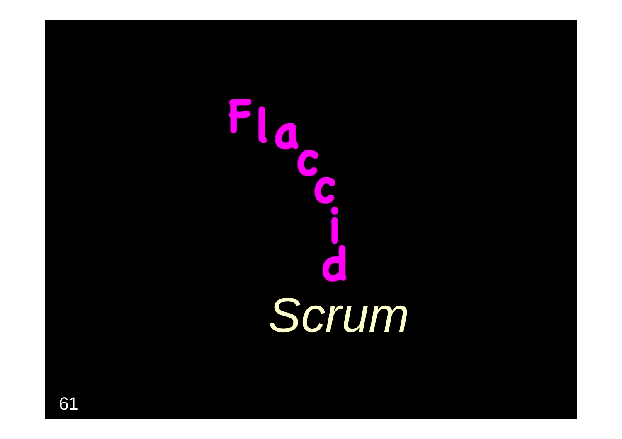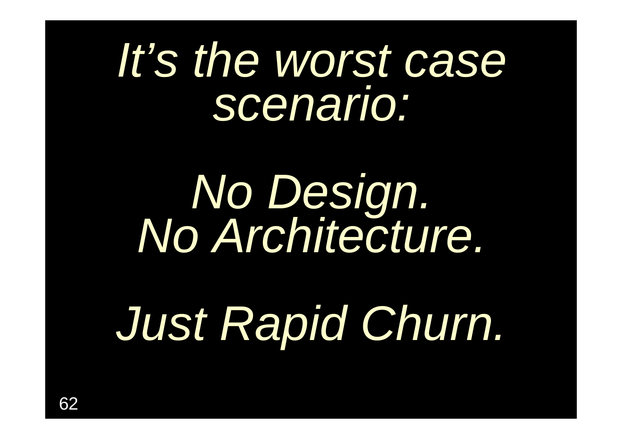#### *It's the worst case scenario:*

## *No Design. No Architecture.*

*Just Rapid Churn.*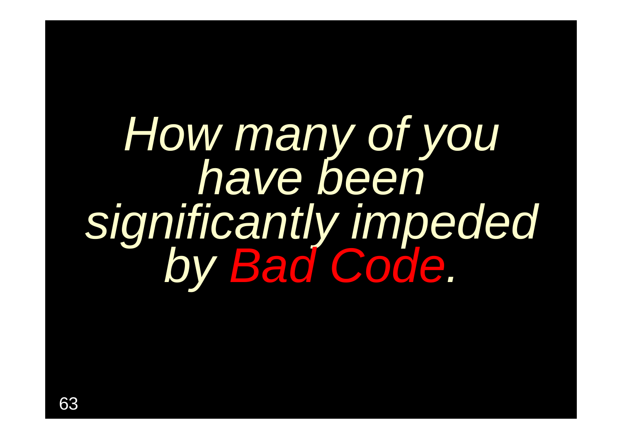### *How many of you have been significantly impeded by Bad Code .*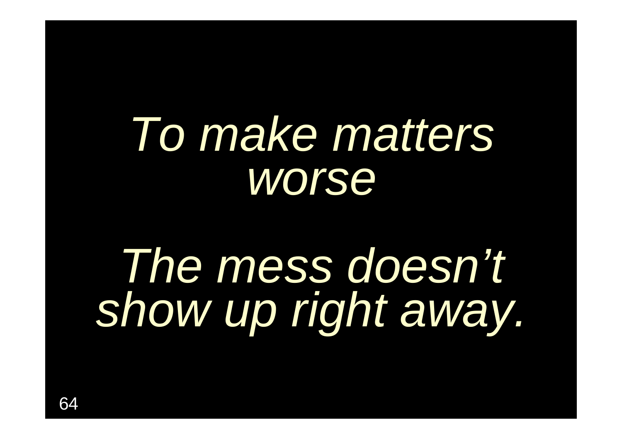### *To make matters worse*

### *The mess doesn't show up right away.*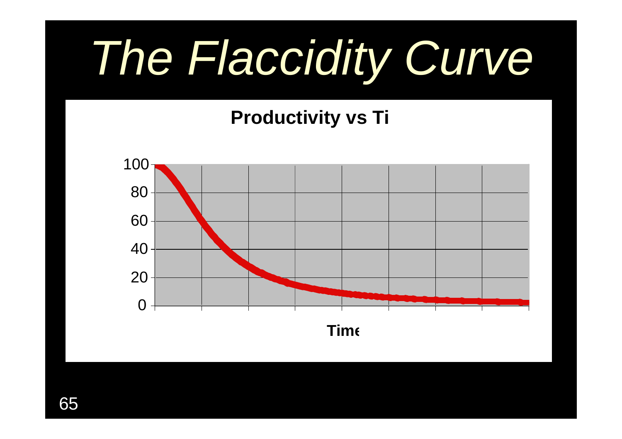### *The Flaccidity Curve*

#### **Productivity vs Ti**

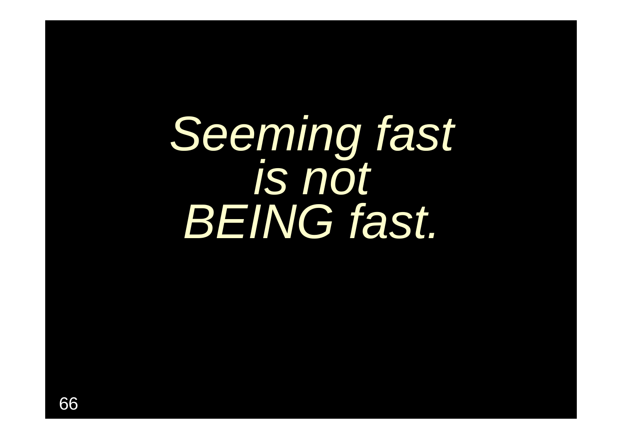*Seeming fast is not BEING fast.*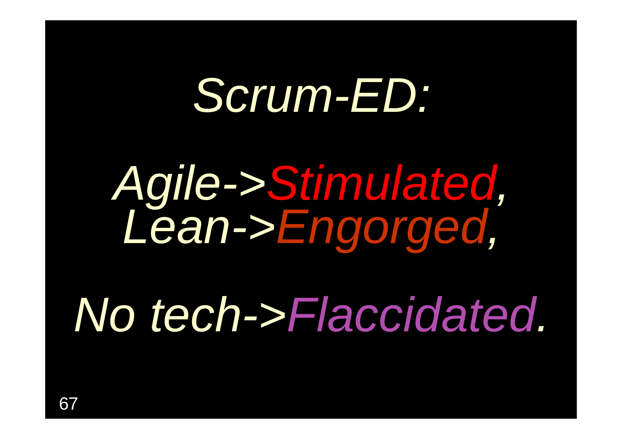### *Scrum-ED:*

*Agile->Stimulated, Lean->Engorged,*

*No tech->Flaccidated.*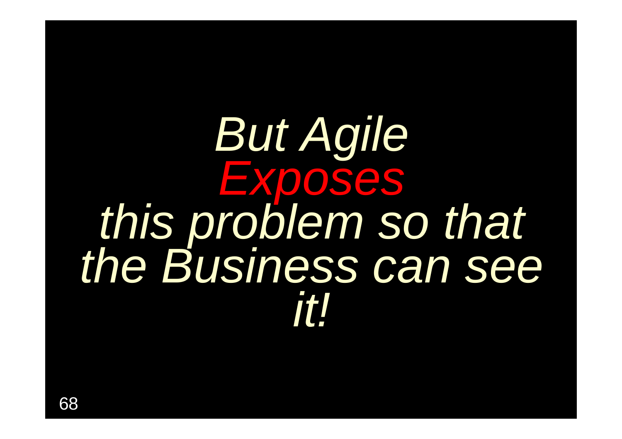### But Agile **EXPOSES** this problem so that<br>the Business can see it l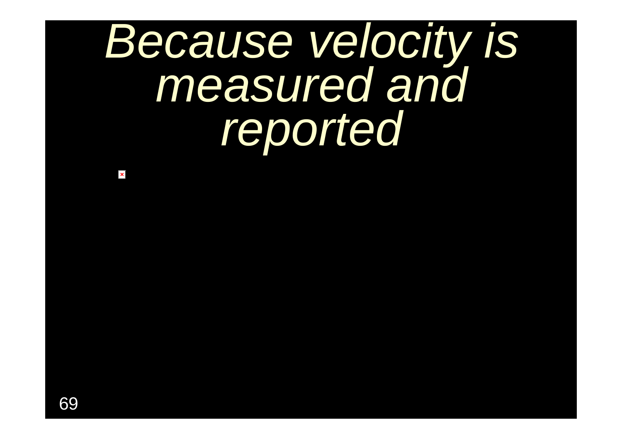### *Because velocity is measured and reported*

 $\pmb{\times}$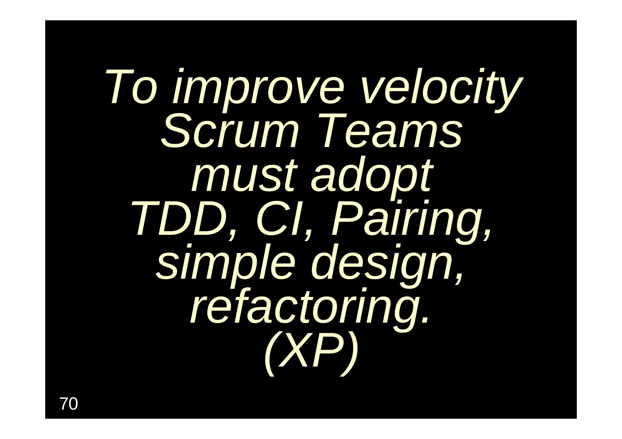*To improve velocity Scrum Teams must adopt<br>TDD, CI, Pairing,<br>simple design,<br>refactoring.*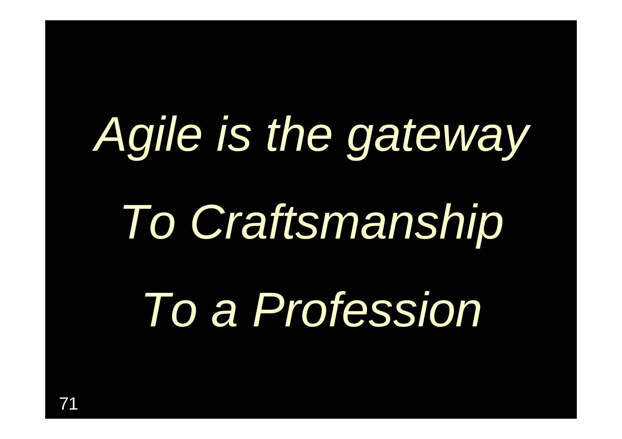## *Agile is the gateway To Craftsmanship To a Profession*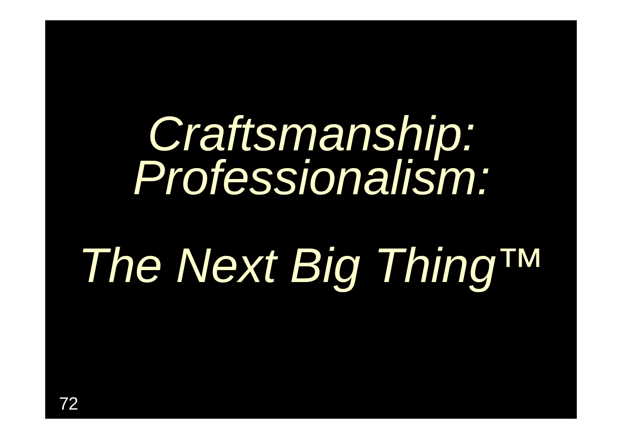## *Craftsmanship: Professionalism:*

### *The Next Big Thing™*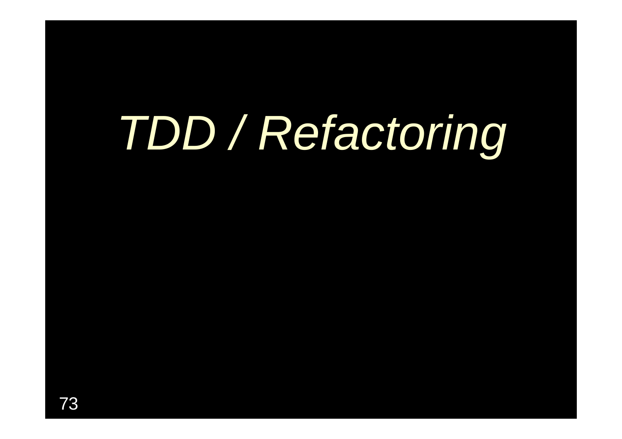## *TDD / Refactoring*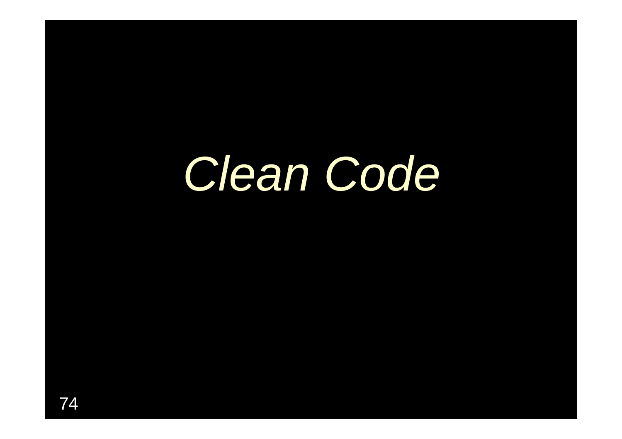#### *Clean Code*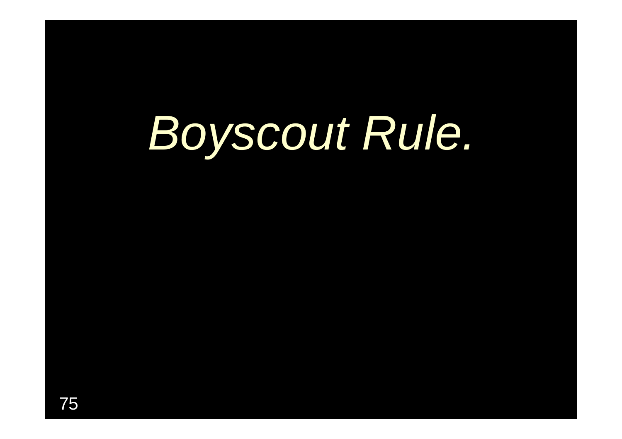### *Boyscout Rule.*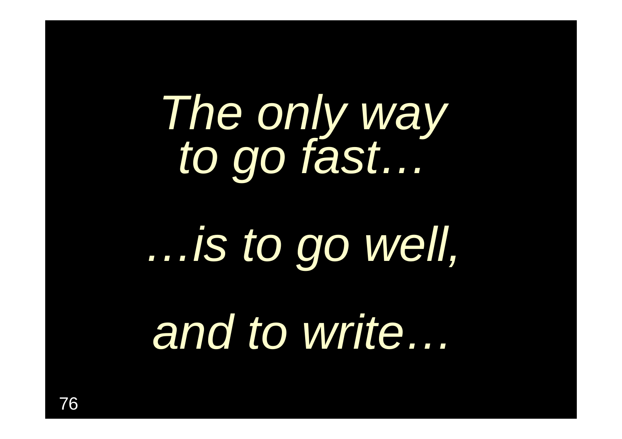*The only way to go fast… …is to go well, and to write…*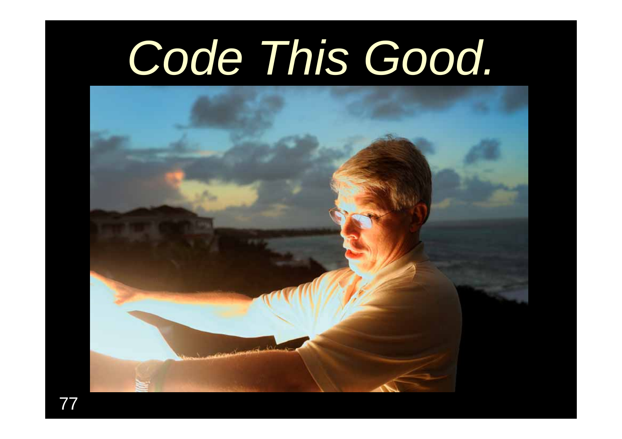#### *Code This Good.*

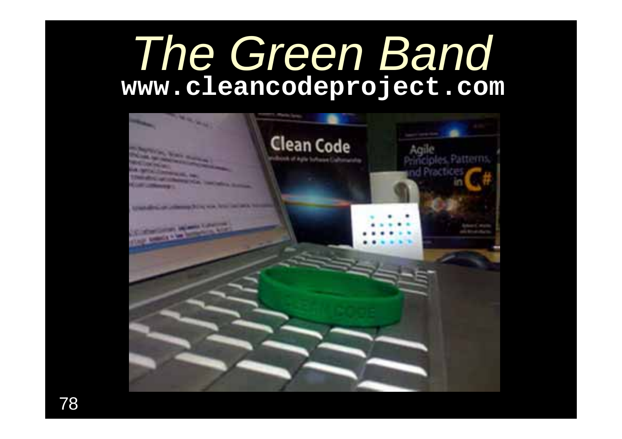#### *The Green Band* **www.cleancodeproject.com**

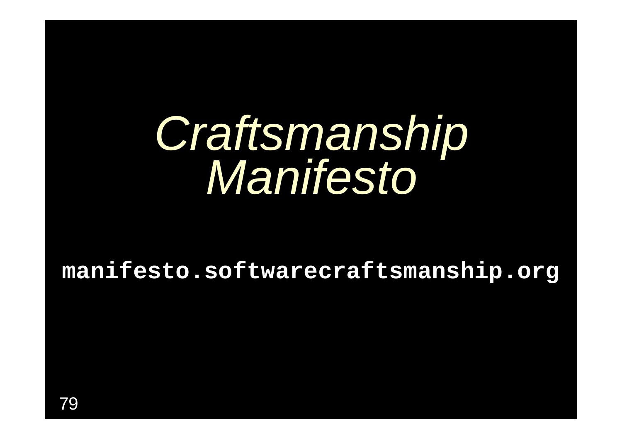# *Craftsmanship Manifesto*

**manifesto.softwarecraftsmanship.org**